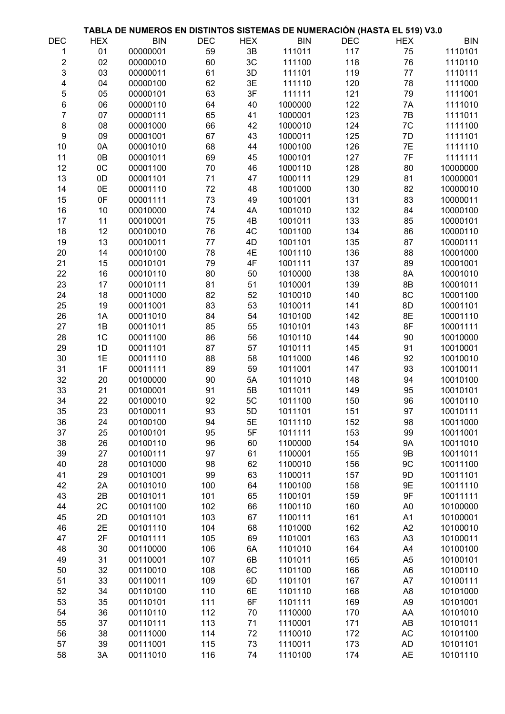|                |            | TABLA DE NUMEROS EN DISTINTOS SISTEMAS DE NUMERACIÓN (HASTA EL 519) V3.0 |            |            |            |            |                |            |
|----------------|------------|--------------------------------------------------------------------------|------------|------------|------------|------------|----------------|------------|
| <b>DEC</b>     | <b>HEX</b> | <b>BIN</b>                                                               | <b>DEC</b> | <b>HEX</b> | <b>BIN</b> | <b>DEC</b> | <b>HEX</b>     | <b>BIN</b> |
| 1              | 01         | 00000001                                                                 | 59         | 3B         | 111011     | 117        | 75             | 1110101    |
| $\overline{c}$ | 02         | 00000010                                                                 | 60         | 3C         | 111100     | 118        | 76             | 1110110    |
| 3              | 03         | 00000011                                                                 | 61         | 3D         | 111101     | 119        | 77             | 1110111    |
| 4              | 04         | 00000100                                                                 | 62         | 3E         | 111110     | 120        | 78             | 1111000    |
| 5              | 05         | 00000101                                                                 | 63         | 3F         | 111111     | 121        | 79             | 1111001    |
| 6              | 06         | 00000110                                                                 | 64         | 40         | 1000000    | 122        | 7A             | 1111010    |
| 7              | 07         | 00000111                                                                 | 65         | 41         | 1000001    | 123        | 7B             | 1111011    |
| $\bf 8$        | 08         | 00001000                                                                 | 66         | 42         | 1000010    | 124        | 7C             | 1111100    |
| 9              | 09         | 00001001                                                                 | 67         | 43         | 1000011    | 125        | 7D             | 1111101    |
| 10             | 0A         | 00001010                                                                 | 68         | 44         | 1000100    | 126        | 7E             | 1111110    |
| 11             | 0B         | 00001011                                                                 | 69         | 45         | 1000101    | 127        | 7F             | 1111111    |
| 12             | OC         | 00001100                                                                 | 70         | 46         | 1000110    | 128        | 80             | 10000000   |
| 13             | 0D         | 00001101                                                                 | 71         | 47         | 1000111    | 129        | 81             | 10000001   |
| 14             | 0E         | 00001110                                                                 | 72         | 48         | 1001000    | 130        | 82             | 10000010   |
| 15             | 0F         | 00001111                                                                 | 73         | 49         | 1001001    | 131        | 83             | 10000011   |
| 16             | 10         | 00010000                                                                 | 74         | 4A         | 1001010    | 132        | 84             | 10000100   |
| 17             | 11         | 00010001                                                                 | 75         | 4B         | 1001011    | 133        | 85             | 10000101   |
| 18             | 12         | 00010010                                                                 | 76         | 4C         | 1001100    | 134        | 86             | 10000110   |
| 19             | 13         | 00010011                                                                 | 77         | 4D         | 1001101    | 135        | 87             | 10000111   |
| 20             | 14         | 00010100                                                                 | 78         | 4E         | 1001110    | 136        | 88             | 10001000   |
| 21             | 15         | 00010101                                                                 | 79         | 4F         | 1001111    | 137        | 89             | 10001001   |
| 22             | 16         | 00010110                                                                 | 80         | 50         | 1010000    | 138        | 8A             | 10001010   |
| 23             | 17         | 00010111                                                                 | 81         | 51         | 1010001    | 139        | 8B             | 10001011   |
| 24             | 18         | 00011000                                                                 | 82         | 52         | 1010010    | 140        | 8C             | 10001100   |
| 25             | 19         | 00011001                                                                 | 83         | 53         | 1010011    | 141        | 8D             | 10001101   |
| 26             | 1A         | 00011010                                                                 | 84         | 54         | 1010100    | 142        | 8E             | 10001110   |
| 27             | 1B         | 00011011                                                                 | 85         | 55         | 1010101    | 143        | 8F             | 10001111   |
| 28             | 1C         | 00011100                                                                 | 86         | 56         | 1010110    | 144        | 90             | 10010000   |
| 29             | 1D         | 00011101                                                                 | 87         | 57         | 1010111    | 145        | 91             | 10010001   |
| 30             | 1E         | 00011110                                                                 | 88         | 58         | 1011000    | 146        | 92             | 10010010   |
| 31             | 1F         | 00011111                                                                 | 89         | 59         | 1011001    | 147        | 93             | 10010011   |
| 32             | 20         | 00100000                                                                 | 90         | 5A         | 1011010    | 148        | 94             | 10010100   |
| 33             | 21         | 00100001                                                                 | 91         | 5B         | 1011011    | 149        | 95             | 10010101   |
| 34             | 22         | 00100010                                                                 | 92         | 5C         | 1011100    | 150        | 96             | 10010110   |
| 35             | 23         | 00100011                                                                 | 93         | 5D         | 1011101    | 151        | 97             | 10010111   |
| 36             | 24         | 00100100                                                                 | 94         | 5E         | 1011110    | 152        | 98             | 10011000   |
| 37             | 25         | 00100101                                                                 | 95         | 5F         | 1011111    | 153        | 99             | 10011001   |
| 38             | 26         | 00100110                                                                 | 96         | 60         | 1100000    | 154        | <b>9A</b>      | 10011010   |
| 39             | 27         | 00100111                                                                 | 97         | 61         | 1100001    | 155        | <b>9B</b>      | 10011011   |
| 40             | 28         | 00101000                                                                 | 98         | 62         | 1100010    | 156        | 9C             | 10011100   |
| 41             | 29         | 00101001                                                                 | 99         | 63         | 1100011    | 157        | 9D             | 10011101   |
| 42             | 2A         | 00101010                                                                 | 100        | 64         | 1100100    | 158        | 9E             | 10011110   |
| 43             | 2B         | 00101011                                                                 | 101        | 65         | 1100101    | 159        | 9F             | 10011111   |
| 44             | 2C         | 00101100                                                                 | 102        | 66         | 1100110    | 160        | A <sub>0</sub> | 10100000   |
| 45             | 2D         | 00101101                                                                 | 103        | 67         | 1100111    | 161        | A1             | 10100001   |
| 46             | 2E         | 00101110                                                                 | 104        | 68         | 1101000    | 162        | A2             | 10100010   |
| 47             | 2F         | 00101111                                                                 | 105        | 69         | 1101001    | 163        | A <sub>3</sub> | 10100011   |
| 48             | 30         | 00110000                                                                 | 106        | 6A         | 1101010    | 164        | A4             | 10100100   |
| 49             | 31         | 00110001                                                                 | 107        | 6B         | 1101011    | 165        | A <sub>5</sub> | 10100101   |
| 50             | 32         | 00110010                                                                 | 108        | 6C         | 1101100    | 166        | A <sub>6</sub> | 10100110   |
| 51             | 33         | 00110011                                                                 | 109        | 6D         | 1101101    | 167        | A7             | 10100111   |
| 52             | 34         | 00110100                                                                 | 110        | 6E         | 1101110    | 168        | A <sub>8</sub> | 10101000   |
| 53             | 35         | 00110101                                                                 | 111        | 6F         | 1101111    | 169        | A <sub>9</sub> | 10101001   |
| 54             | 36         | 00110110                                                                 | 112        | 70         | 1110000    | 170        | AA             | 10101010   |
| 55             | 37         | 00110111                                                                 | 113        | 71         | 1110001    | 171        | AB             | 10101011   |
| 56             | 38         | 00111000                                                                 | 114        | 72         | 1110010    | 172        | AC             | 10101100   |
| 57             | 39         | 00111001                                                                 | 115        | 73         | 1110011    | 173        | <b>AD</b>      | 10101101   |
| 58             | 3A         | 00111010                                                                 | 116        | 74         | 1110100    | 174        | <b>AE</b>      | 10101110   |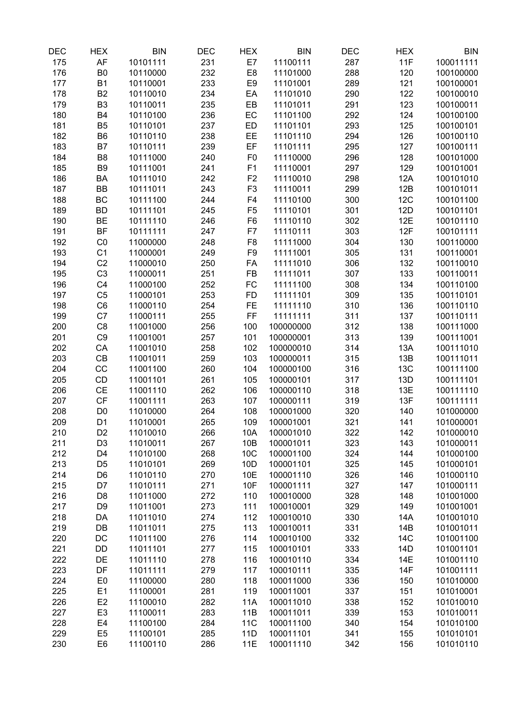| DEC        | <b>HEX</b>                       | <b>BIN</b>           | DEC        | <b>HEX</b>     | <b>BIN</b>             | DEC        | <b>HEX</b> | <b>BIN</b>             |
|------------|----------------------------------|----------------------|------------|----------------|------------------------|------------|------------|------------------------|
| 175        | AF                               | 10101111             | 231        | E7             | 11100111               | 287        | 11F        | 100011111              |
| 176        | B <sub>0</sub>                   | 10110000             | 232        | E8             | 11101000               | 288        | 120        | 100100000              |
| 177        | <b>B1</b>                        | 10110001             | 233        | E <sub>9</sub> | 11101001               | 289        | 121        | 100100001              |
| 178        | B <sub>2</sub>                   | 10110010             | 234        | EA             | 11101010               | 290        | 122        | 100100010              |
| 179        | B <sub>3</sub>                   | 10110011             | 235        | EB             | 11101011               | 291        | 123        | 100100011              |
| 180        | <b>B4</b>                        | 10110100             | 236        | EC             | 11101100               | 292        | 124        | 100100100              |
| 181        | B <sub>5</sub>                   | 10110101             | 237        | ED             | 11101101               | 293        | 125        | 100100101              |
| 182        | B <sub>6</sub>                   | 10110110             | 238        | EE             | 11101110               | 294        | 126        | 100100110              |
| 183        | B7                               | 10110111             | 239        | EF             | 11101111               | 295        | 127        | 100100111              |
| 184        | B <sub>8</sub>                   | 10111000             | 240        | F <sub>0</sub> | 11110000               | 296        | 128        | 100101000              |
| 185        | B <sub>9</sub>                   | 10111001             | 241        | F <sub>1</sub> | 11110001               | 297        | 129        | 100101001              |
| 186        | BA                               | 10111010             | 242        | F <sub>2</sub> | 11110010               | 298        | 12A        | 100101010              |
| 187        | <b>BB</b>                        | 10111011             | 243        | F <sub>3</sub> | 11110011               | 299        | 12B        | 100101011              |
| 188        | BC                               | 10111100             | 244        | F4             | 11110100               | 300        | 12C        | 100101100              |
| 189        | <b>BD</b>                        | 10111101             | 245        | F <sub>5</sub> | 11110101               | 301        | 12D        | 100101101              |
| 190        | <b>BE</b>                        | 10111110             | 246        | F <sub>6</sub> | 11110110               | 302        | 12E        | 100101110              |
| 191        | <b>BF</b>                        | 10111111             | 247        | F7             | 11110111               | 303        | 12F        | 100101111              |
| 192        | CO                               | 11000000             | 248        | F <sub>8</sub> | 11111000               | 304        | 130        | 100110000              |
| 193        | C <sub>1</sub>                   | 11000001             | 249        | F <sub>9</sub> | 11111001               | 305        | 131        | 100110001              |
| 194        | C <sub>2</sub>                   | 11000010             | 250        | FA             | 11111010               | 306        | 132        | 100110010              |
| 195        | C <sub>3</sub>                   | 11000011             | 251        | <b>FB</b>      | 11111011               | 307        | 133        | 100110011              |
| 196        | C <sub>4</sub>                   | 11000100             | 252        | <b>FC</b>      | 11111100               | 308        | 134        | 100110100              |
| 197        | C <sub>5</sub>                   | 11000101             | 253        | <b>FD</b>      | 11111101               | 309        | 135        | 100110101              |
| 198        | C <sub>6</sub>                   | 11000110             | 254        | <b>FE</b>      | 11111110               | 310        | 136        | 100110110              |
| 199        | C7                               | 11000111             | 255        | FF             | 11111111               | 311        | 137        | 100110111              |
| 200        | C <sub>8</sub>                   | 11001000             | 256        | 100            | 100000000              | 312        | 138        | 100111000              |
| 201        | C <sub>9</sub>                   | 11001001             | 257        | 101            | 100000001              | 313        | 139        | 100111001              |
| 202        | CA                               | 11001010             | 258        | 102            | 100000010              | 314        | 13A        | 100111010              |
| 203        | CB                               | 11001011             | 259        | 103            | 100000011              | 315        | 13B        | 100111011              |
| 204        | CC                               | 11001100             | 260        | 104            | 100000100              | 316        | 13C        | 100111100              |
| 205        | CD                               | 11001101             | 261        | 105            | 100000101              | 317        | 13D        | 100111101              |
| 206        | CE                               | 11001110             | 262        | 106            | 100000110              | 318        | 13E        | 100111110              |
| 207        | CF                               | 11001111             | 263        | 107            | 100000111              | 319        | 13F        | 100111111              |
| 208        | D <sub>0</sub>                   | 11010000             | 264        | 108            | 100001000              | 320        | 140        | 101000000              |
| 209        | D <sub>1</sub><br>D <sub>2</sub> | 11010001             | 265        | 109            | 100001001              | 321        | 141        | 101000001<br>101000010 |
| 210<br>211 | D <sub>3</sub>                   | 11010010             | 266<br>267 | 10A            | 100001010<br>100001011 | 322        | 142<br>143 | 101000011              |
| 212        | D <sub>4</sub>                   | 11010011<br>11010100 | 268        | 10B<br>10C     | 100001100              | 323<br>324 | 144        | 101000100              |
| 213        | D <sub>5</sub>                   | 11010101             | 269        | 10D            | 100001101              | 325        | 145        | 101000101              |
| 214        | D <sub>6</sub>                   | 11010110             | 270        | 10E            | 100001110              | 326        | 146        | 101000110              |
| 215        | D7                               | 11010111             | 271        | 10F            | 100001111              | 327        | 147        | 101000111              |
| 216        | D <sub>8</sub>                   | 11011000             | 272        | 110            | 100010000              | 328        | 148        | 101001000              |
| 217        | D <sub>9</sub>                   | 11011001             | 273        | 111            | 100010001              | 329        | 149        | 101001001              |
| 218        | DA                               | 11011010             | 274        | 112            | 100010010              | 330        | 14A        | 101001010              |
| 219        | DB                               | 11011011             | 275        | 113            | 100010011              | 331        | 14B        | 101001011              |
| 220        | DC                               | 11011100             | 276        | 114            | 100010100              | 332        | 14C        | 101001100              |
| 221        | DD                               | 11011101             | 277        | 115            | 100010101              | 333        | 14D        | 101001101              |
| 222        | DE                               | 11011110             | 278        | 116            | 100010110              | 334        | 14E        | 101001110              |
| 223        | DF                               | 11011111             | 279        | 117            | 100010111              | 335        | 14F        | 101001111              |
| 224        | E <sub>0</sub>                   | 11100000             | 280        | 118            | 100011000              | 336        | 150        | 101010000              |
| 225        | E1                               | 11100001             | 281        | 119            | 100011001              | 337        | 151        | 101010001              |
| 226        | E <sub>2</sub>                   | 11100010             | 282        | 11A            | 100011010              | 338        | 152        | 101010010              |
| 227        | E <sub>3</sub>                   | 11100011             | 283        | 11B            | 100011011              | 339        | 153        | 101010011              |
| 228        | E <sub>4</sub>                   | 11100100             | 284        | <b>11C</b>     | 100011100              | 340        | 154        | 101010100              |
| 229        | E <sub>5</sub>                   | 11100101             | 285        | 11D            | 100011101              | 341        | 155        | 101010101              |
| 230        | E <sub>6</sub>                   | 11100110             | 286        | 11E            | 100011110              | 342        | 156        | 101010110              |